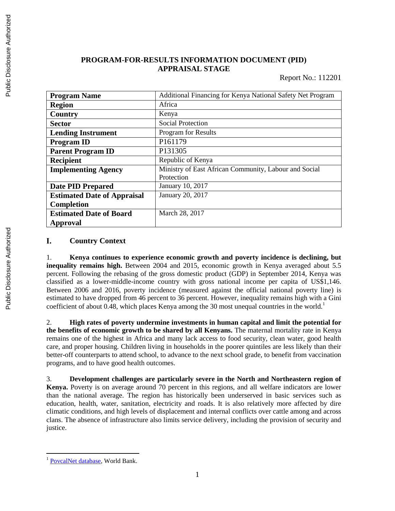### **PROGRAM-FOR-RESULTS INFORMATION DOCUMENT (PID) APPRAISAL STAGE**

Report No.: 112201

| <b>Program Name</b>                | Additional Financing for Kenya National Safety Net Program |
|------------------------------------|------------------------------------------------------------|
| <b>Region</b>                      | Africa                                                     |
| Country                            | Kenya                                                      |
| <b>Sector</b>                      | <b>Social Protection</b>                                   |
| <b>Lending Instrument</b>          | Program for Results                                        |
| <b>Program ID</b>                  | P161179                                                    |
| <b>Parent Program ID</b>           | P131305                                                    |
| <b>Recipient</b>                   | Republic of Kenya                                          |
| <b>Implementing Agency</b>         | Ministry of East African Community, Labour and Social      |
|                                    | Protection                                                 |
| <b>Date PID Prepared</b>           | January 10, 2017                                           |
| <b>Estimated Date of Appraisal</b> | January 20, 2017                                           |
| <b>Completion</b>                  |                                                            |
| <b>Estimated Date of Board</b>     | March 28, 2017                                             |
| Approval                           |                                                            |

#### I. **Country Context**

1. **Kenya continues to experience economic growth and poverty incidence is declining, but inequality remains high.** Between 2004 and 2015, economic growth in Kenya averaged about 5.5 percent. Following the rebasing of the gross domestic product (GDP) in September 2014, Kenya was classified as a lower-middle-income country with gross national income per capita of US\$1,146. Between 2006 and 2016, poverty incidence (measured against the official national poverty line) is estimated to have dropped from 46 percent to 36 percent. However, inequality remains high with a Gini coefficient of about 0.48, which places Kenya among the 30 most unequal countries in the world.<sup>1</sup>

2. **High rates of poverty undermine investments in human capital and limit the potential for the benefits of economic growth to be shared by all Kenyans.** The maternal mortality rate in Kenya remains one of the highest in Africa and many lack access to food security, clean water, good health care, and proper housing. Children living in households in the poorer quintiles are less likely than their better-off counterparts to attend school, to advance to the next school grade, to benefit from vaccination programs, and to have good health outcomes.

3. **Development challenges are particularly severe in the North and Northeastern region of Kenya.** Poverty is on average around 70 percent in this regions, and all welfare indicators are lower than the national average. The region has historically been underserved in basic services such as education, health, water, sanitation, electricity and roads. It is also relatively more affected by dire climatic conditions, and high levels of displacement and internal conflicts over cattle among and across clans. The absence of infrastructure also limits service delivery, including the provision of security and justice.

 $\overline{a}$ 

<sup>&</sup>lt;sup>1</sup> [PovcalNet database,](http://iresearch.worldbank.org/PovcalNet/home.aspx) World Bank.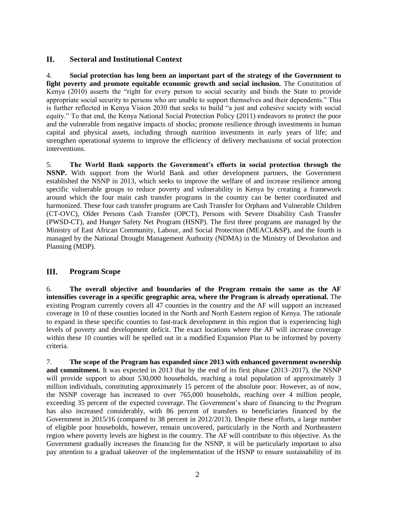#### **II. Sectoral and Institutional Context**

4. **Social protection has long been an important part of the strategy of the Government to**  fight poverty and promote equitable economic growth and social inclusion. The Constitution of Kenya (2010) asserts the "right for every person to social security and binds the State to provide appropriate social security to persons who are unable to support themselves and their dependents." This is further reflected in Kenya Vision 2030 that seeks to build "a just and cohesive society with social equity." To that end, the Kenya National Social Protection Policy (2011) endeavors to protect the poor and the vulnerable from negative impacts of shocks; promote resilience through investments in human capital and physical assets, including through nutrition investments in early years of life; and strengthen operational systems to improve the efficiency of delivery mechanisms of social protection interventions.

5. **The World Bank supports the Government's efforts in social protection through the NSNP.** With support from the World Bank and other development partners, the Government established the NSNP in 2013, which seeks to improve the welfare of and increase resilience among specific vulnerable groups to reduce poverty and vulnerability in Kenya by creating a framework around which the four main cash transfer programs in the country can be better coordinated and harmonized. These four cash transfer programs are Cash Transfer for Orphans and Vulnerable Children (CT-OVC), Older Persons Cash Transfer (OPCT), Persons with Severe Disability Cash Transfer (PWSD-CT), and Hunger Safety Net Program (HSNP). The first three programs are managed by the Ministry of East African Community, Labour, and Social Protection (MEACL&SP), and the fourth is managed by the National Drought Management Authority (NDMA) in the Ministry of Devolution and Planning (MDP).

#### **Program Scope** III.

6. **The overall objective and boundaries of the Program remain the same as the AF intensifies coverage in a specific geographic area, where the Program is already operational.** The existing Program currently covers all 47 counties in the country and the AF will support an increased coverage in 10 of these counties located in the North and North Eastern region of Kenya. The rationale to expand in these specific counties to fast-track development in this region that is experiencing high levels of poverty and development deficit. The exact locations where the AF will increase coverage within these 10 counties will be spelled out in a modified Expansion Plan to be informed by poverty criteria.

7. **The scope of the Program has expanded since 2013 with enhanced government ownership and commitment.** It was expected in 2013 that by the end of its first phase (2013–2017), the NSNP will provide support to about 530,000 households, reaching a total population of approximately 3 million individuals, constituting approximately 15 percent of the absolute poor. However, as of now, the NSNP coverage has increased to over 765,000 households, reaching over 4 million people, exceeding 35 percent of the expected coverage. The Government's share of financing to the Program has also increased considerably, with 86 percent of transfers to beneficiaries financed by the Government in 2015/16 (compared to 38 percent in 2012/2013). Despite these efforts, a large number of eligible poor households, however, remain uncovered, particularly in the North and Northeastern region where poverty levels are highest in the country. The AF will contribute to this objective. As the Government gradually increases the financing for the NSNP, it will be particularly important to also pay attention to a gradual takeover of the implementation of the HSNP to ensure sustainability of its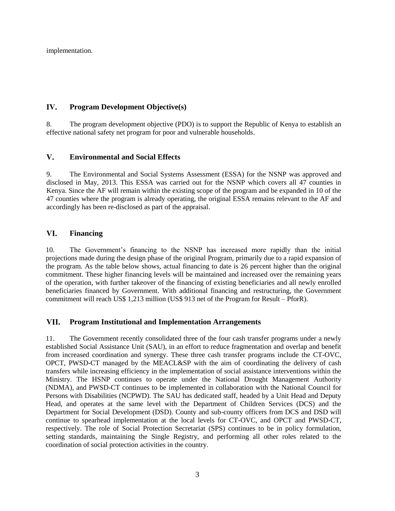implementation.

#### IV. **Program Development Objective(s)**

8. The program development objective (PDO) is to support the Republic of Kenya to establish an effective national safety net program for poor and vulnerable households.

#### $V_{\bullet}$ **Environmental and Social Effects**

9. The Environmental and Social Systems Assessment (ESSA) for the NSNP was approved and disclosed in May, 2013. This ESSA was carried out for the NSNP which covers all 47 counties in Kenya. Since the AF will remain within the existing scope of the program and be expanded in 10 of the 47 counties where the program is already operating, the original ESSA remains relevant to the AF and accordingly has been re-disclosed as part of the appraisal.

#### VI. **Financing**

10. The Government's financing to the NSNP has increased more rapidly than the initial projections made during the design phase of the original Program, primarily due to a rapid expansion of the program. As the table below shows, actual financing to date is 26 percent higher than the original commitment. These higher financing levels will be maintained and increased over the remaining years of the operation, with further takeover of the financing of existing beneficiaries and all newly enrolled beneficiaries financed by Government. With additional financing and restructuring, the Government commitment will reach US\$ 1,213 million (US\$ 913 net of the Program for Result – PforR).

#### VII. **Program Institutional and Implementation Arrangements**

11. The Government recently consolidated three of the four cash transfer programs under a newly established Social Assistance Unit (SAU), in an effort to reduce fragmentation and overlap and benefit from increased coordination and synergy. These three cash transfer programs include the CT-OVC, OPCT, PWSD-CT managed by the MEACL&SP with the aim of coordinating the delivery of cash transfers while increasing efficiency in the implementation of social assistance interventions within the Ministry. The HSNP continues to operate under the National Drought Management Authority (NDMA), and PWSD-CT continues to be implemented in collaboration with the National Council for Persons with Disabilities (NCPWD). The SAU has dedicated staff, headed by a Unit Head and Deputy Head, and operates at the same level with the Department of Children Services (DCS) and the Department for Social Development (DSD). County and sub-county officers from DCS and DSD will continue to spearhead implementation at the local levels for CT-OVC, and OPCT and PWSD-CT, respectively. The role of Social Protection Secretariat (SPS) continues to be in policy formulation, setting standards, maintaining the Single Registry, and performing all other roles related to the coordination of social protection activities in the country.